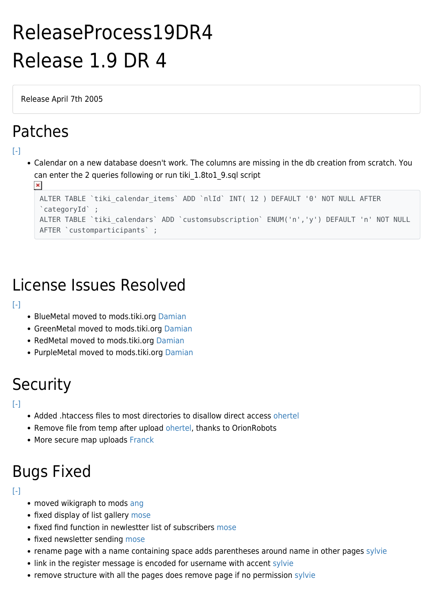# ReleaseProcess19DR4 Release 1.9 DR 4

Release April 7th 2005

### Patches

 $\pmb{\times}$ 

### $[-]$

Calendar on a new database doesn't work. The columns are missing in the db creation from scratch. You can enter the 2 queries following or run tiki\_1.8to1\_9.sql script

```
ALTER TABLE `tiki calendar items` ADD `nlId` INT( 12 ) DEFAULT '0' NOT NULL AFTER
`categoryId` ;
ALTER TABLE `tiki_calendars` ADD `customsubscription` ENUM('n','y') DEFAULT 'n' NOT NULL
AFTER `customparticipants` ;
```
## License Issues Resolved

### $[ - ]$

- BlueMetal moved to mods.tiki.org [Damian](https://suite.tiki.org/Damian)
- GreenMetal moved to mods.tiki.org [Damian](https://suite.tiki.org/Damian)
- RedMetal moved to mods.tiki.org [Damian](https://suite.tiki.org/Damian)
- PurpleMetal moved to mods.tiki.org [Damian](https://suite.tiki.org/Damian)

## **Security**

#### $[-]$

- Added .htaccess files to most directories to disallow direct access [ohertel](https://suite.tiki.org/ohertel)
- Remove file from temp after upload [ohertel](https://suite.tiki.org/ohertel), thanks to OrionRobots
- More secure map uploads [Franck](https://suite.tiki.org/Franck)

# Bugs Fixed

#### $[-]$

- moved wikigraph to mods [ang](https://suite.tiki.org/UserPageang)
- fixed display of list gallery [mose](https://suite.tiki.org/mose)
- fixed find function in newlestter list of subscribers [mose](https://suite.tiki.org/mose)
- fixed newsletter sending [mose](https://suite.tiki.org/mose)
- rename page with a name containing space adds parentheses around name in other pages [sylvie](https://suite.tiki.org/sylvie)
- link in the register message is encoded for username with accent [sylvie](https://suite.tiki.org/sylvie)
- remove structure with all the pages does remove page if no permission [sylvie](https://suite.tiki.org/sylvie)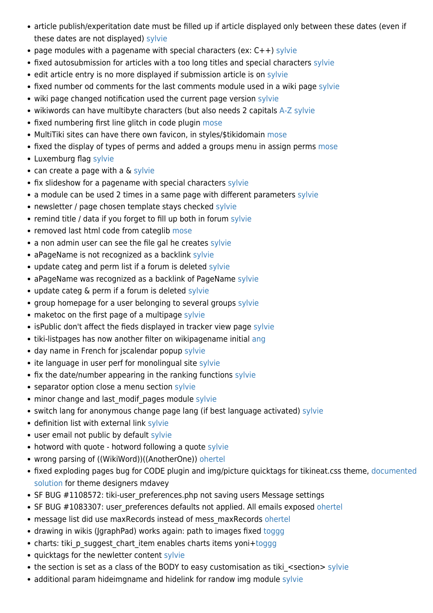- article publish/experitation date must be filled up if article displayed only between these dates (even if these dates are not displayed) [sylvie](https://suite.tiki.org/sylvie)
- page modules with a pagename with special characters (ex:  $C++$ ) [sylvie](https://suite.tiki.org/sylvie)
- fixed autosubmission for articles with a too long titles and special characters [sylvie](https://suite.tiki.org/sylvie)
- edit article entry is no more displayed if submission article is on [sylvie](https://suite.tiki.org/sylvie)
- fixed number od comments for the last comments module used in a wiki page [sylvie](https://suite.tiki.org/sylvie)
- wiki page changed notification used the current page version [sylvie](https://suite.tiki.org/sylvie)
- wikiwords can have multibyte characters (but also needs 2 capitals [A-Z](https://suite.tiki.org/A-Z) [sylvie](https://suite.tiki.org/sylvie)
- fixed numbering first line glitch in code plugin [mose](https://suite.tiki.org/mose)
- MultiTiki sites can have there own favicon, in styles/\$tikidomain [mose](https://suite.tiki.org/mose)
- fixed the display of types of perms and added a groups menu in assign perms [mose](https://suite.tiki.org/mose)
- Luxemburg flag [sylvie](https://suite.tiki.org/sylvie)
- can create a page with a & [sylvie](https://suite.tiki.org/sylvie)
- fix slideshow for a pagename with special characters [sylvie](https://suite.tiki.org/sylvie)
- a module can be used 2 times in a same page with different parameters [sylvie](https://suite.tiki.org/sylvie)
- newsletter / page chosen template stays checked [sylvie](https://suite.tiki.org/sylvie)
- remind title / data if you forget to fill up both in forum [sylvie](https://suite.tiki.org/sylvie)
- removed last html code from categlib [mose](https://suite.tiki.org/mose)
- a non admin user can see the file gal he creates [sylvie](https://suite.tiki.org/sylvie)
- aPageName is not recognized as a backlink [sylvie](https://suite.tiki.org/sylvie)
- update categ and perm list if a forum is deleted [sylvie](https://suite.tiki.org/sylvie)
- aPageName was recognized as a backlink of PageName [sylvie](https://suite.tiki.org/sylvie)
- update categ & perm if a forum is deleted [sylvie](https://suite.tiki.org/sylvie)
- group homepage for a user belonging to several groups [sylvie](https://suite.tiki.org/sylvie)
- maketoc on the first page of a multipage [sylvie](https://suite.tiki.org/sylvie)
- isPublic don't affect the fieds displayed in tracker view page [sylvie](https://suite.tiki.org/sylvie)
- tiki-listpages has now another filter on wikipagename initial [ang](https://suite.tiki.org/ang)
- day name in French for jscalendar popup [sylvie](https://suite.tiki.org/sylvie)
- ite language in user perf for monolingual site [sylvie](https://suite.tiki.org/sylvie)
- fix the date/number appearing in the ranking functions [sylvie](https://suite.tiki.org/sylvie)
- separator option close a menu section [sylvie](https://suite.tiki.org/sylvie)
- minor change and last modif pages module [sylvie](https://suite.tiki.org/sylvie)
- switch lang for anonymous change page lang (if best language activated) [sylvie](https://suite.tiki.org/sylvie)
- definition list with external link [sylvie](https://suite.tiki.org/sylvie)
- user email not public by default [sylvie](https://suite.tiki.org/sylvie)
- hotword with quote hotword following a quote [sylvie](https://suite.tiki.org/sylvie)
- wrong parsing of ((WikiWord))((AnotherOne)) [ohertel](https://suite.tiki.org/ohertel)
- fixed exploding pages bug for CODE plugin and img/picture quicktags for tikineat.css theme, [documented](https://suite.tiki.org/ExplodingPagesBug) [solution](https://suite.tiki.org/ExplodingPagesBug) for theme designers [mdavey](https://suite.tiki.org/tiki-editpage.php?page=UserPageMDavey)
- SF BUG #1108572: tiki-user\_preferences.php not saving users Message settings
- SF BUG #1083307: user preferences defaults not applied. All emails exposed [ohertel](https://suite.tiki.org/ohertel)
- message list did use maxRecords instead of mess maxRecords [ohertel](https://suite.tiki.org/ohertel)
- drawing in wikis (JgraphPad) works again: path to images fixed [toggg](https://suite.tiki.org/UserPagetoggg)
- charts: tiki p suggest chart item enables charts items yoni+[toggg](https://suite.tiki.org/UserPagetoggg)
- quicktags for the newletter content [sylvie](https://suite.tiki.org/sylvie)
- the section is set as a class of the BODY to easy customisation as tiki <section> [sylvie](https://suite.tiki.org/sylvie)
- additional param hideimgname and hidelink for randow img module [sylvie](https://suite.tiki.org/sylvie)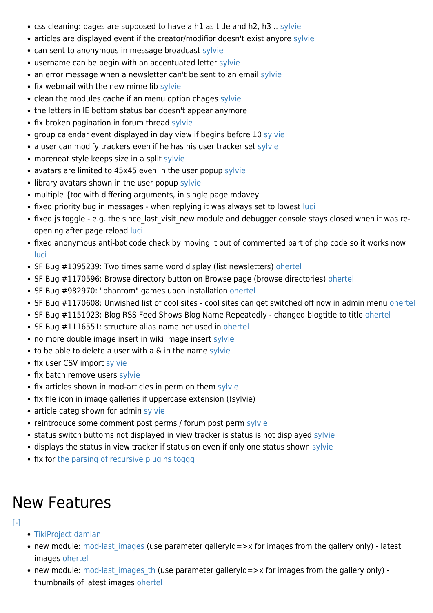- css cleaning: pages are supposed to have a h1 as title and h2, h3 .. [sylvie](https://suite.tiki.org/sylvie)
- articles are displayed event if the creator/modifior doesn't exist anyore [sylvie](https://suite.tiki.org/sylvie)
- can sent to anonymous in message broadcast [sylvie](https://suite.tiki.org/sylvie)
- username can be begin with an accentuated letter [sylvie](https://suite.tiki.org/sylvie)
- an error message when a newsletter can't be sent to an email [sylvie](https://suite.tiki.org/sylvie)
- fix webmail with the new mime lib [sylvie](https://suite.tiki.org/sylvie)
- clean the modules cache if an menu option chages [sylvie](https://suite.tiki.org/sylvie)
- the letters in IE bottom status bar doesn't appear anymore
- fix broken pagination in forum thread [sylvie](https://suite.tiki.org/sylvie)
- group calendar event displayed in day view if begins before 10 [sylvie](https://suite.tiki.org/sylvie)
- a user can modify trackers even if he has his user tracker set [sylvie](https://suite.tiki.org/sylvie)
- moreneat style keeps size in a split [sylvie](https://suite.tiki.org/sylvie)
- avatars are limited to 45x45 even in the user popup [sylvie](https://suite.tiki.org/sylvie)
- library avatars shown in the user popup [sylvie](https://suite.tiki.org/sylvie)
- multiple {toc with differing arguments, in single page [mdavey](https://suite.tiki.org/tiki-editpage.php?page=UserPageMDavey)
- fixed priority bug in messages when replying it was always set to lowest [luci](https://suite.tiki.org/luci)
- fixed js toggle e.g. the since last visit new module and debugger console stays closed when it was reopening after page reload [luci](https://suite.tiki.org/luci)
- fixed anonymous anti-bot code check by moving it out of commented part of php code so it works now [luci](https://suite.tiki.org/luci)
- SF Bug #1095239: Two times same word display (list newsletters) [ohertel](https://suite.tiki.org/ohertel)
- SF Bug #1170596: Browse directory button on Browse page (browse directories) [ohertel](https://suite.tiki.org/ohertel)
- SF Bug #982970: "phantom" games upon installation [ohertel](https://suite.tiki.org/ohertel)
- SF Bug #1170608: Unwished list of cool sites cool sites can get switched off now in admin menu [ohertel](https://suite.tiki.org/ohertel)
- SF Bug #1151923: Blog RSS Feed Shows Blog Name Repeatedly changed blogtitle to title [ohertel](https://suite.tiki.org/ohertel)
- SF Bug #1116551: structure alias name not used in [ohertel](https://suite.tiki.org/ohertel)
- no more double image insert in wiki image insert [sylvie](https://suite.tiki.org/sylvie)
- to be able to delete a user with a & in the name [sylvie](https://suite.tiki.org/sylvie)
- fix user CSV import [sylvie](https://suite.tiki.org/sylvie)
- fix batch remove users [sylvie](https://suite.tiki.org/sylvie)
- fix articles shown in mod-articles in perm on them [sylvie](https://suite.tiki.org/sylvie)
- fix file icon in image galleries if uppercase extension ((sylvie)
- article categ shown for admin [sylvie](https://suite.tiki.org/sylvie)
- reintroduce some comment post perms / forum post perm [sylvie](https://suite.tiki.org/sylvie)
- status switch buttoms not displayed in view tracker is status is not displayed [sylvie](https://suite.tiki.org/sylvie)
- displays the status in view tracker if status on even if only one status shown [sylvie](https://suite.tiki.org/sylvie)
- fix for [the parsing of recursive plugins](http://sourceforge.net/tracker/index.php?func=detail&aid=1172422&group_id=64258&atid=506846) [toggg](https://suite.tiki.org/UserPagetoggg)

## New Features

- $[-]$
- [TikiProject](https://suite.tiki.org/TikiProject) [damian](https://suite.tiki.org/Damian)
- new module: mod-last images (use parameter galleryId=>x for images from the gallery only) latest images [ohertel](https://suite.tiki.org/ohertel)
- new module: mod-last images th (use parameter galleryId=>x for images from the gallery only) thumbnails of latest images [ohertel](https://suite.tiki.org/ohertel)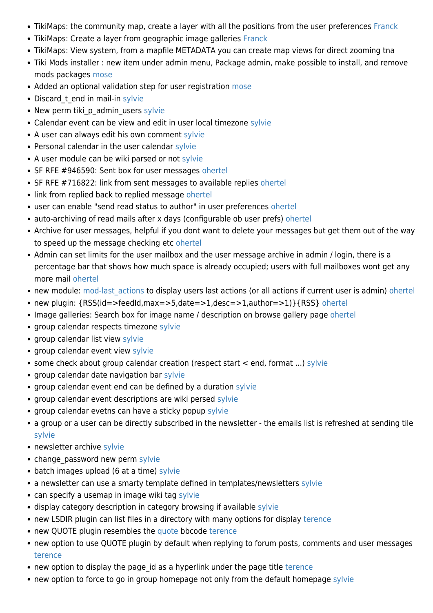- TikiMaps: the community map, create a layer with all the positions from the user preferences [Franck](https://suite.tiki.org/Franck)
- TikiMaps: Create a layer from geographic image galleries [Franck](https://suite.tiki.org/Franck)
- TikiMaps: View system, from a mapfile METADATA you can create map views for direct zooming [tna](https://suite.tiki.org/tiki-editpage.php?page=tna)
- Tiki Mods installer : new item under admin menu, Package admin, make possible to install, and remove mods packages [mose](https://suite.tiki.org/mose)
- Added an optional validation step for user registration [mose](https://suite.tiki.org/mose)
- Discard t end in mail-in [sylvie](https://suite.tiki.org/sylvie)
- New perm tiki p admin users [sylvie](https://suite.tiki.org/sylvie)
- Calendar event can be view and edit in user local timezone [sylvie](https://suite.tiki.org/sylvie)
- A user can always edit his own comment [sylvie](https://suite.tiki.org/sylvie)
- Personal calendar in the user calendar [sylvie](https://suite.tiki.org/sylvie)
- A user module can be wiki parsed or not [sylvie](https://suite.tiki.org/sylvie)
- SF RFE #946590: Sent box for user messages [ohertel](https://suite.tiki.org/ohertel)
- SF RFE #716822: link from sent messages to available replies [ohertel](https://suite.tiki.org/ohertel)
- link from replied back to replied message [ohertel](https://suite.tiki.org/ohertel)
- user can enable "send read status to author" in user preferences [ohertel](https://suite.tiki.org/ohertel)
- auto-archiving of read mails after x days (configurable ob user prefs) [ohertel](https://suite.tiki.org/ohertel)
- Archive for user messages, helpful if you dont want to delete your messages but get them out of the way to speed up the message checking etc [ohertel](https://suite.tiki.org/ohertel)
- Admin can set limits for the user mailbox and the user message archive in admin / login, there is a percentage bar that shows how much space is already occupied; users with full mailboxes wont get any more mail [ohertel](https://suite.tiki.org/ohertel)
- new module: mod-last actions to display users last actions (or all actions if current user is admin) [ohertel](https://suite.tiki.org/ohertel)
- new plugin: {RSS(id=>feedId,max=>5,date=>1,desc=>1,author=>1)}{RSS} [ohertel](https://suite.tiki.org/ohertel)
- Image galleries: Search box for image name / description on browse gallery page [ohertel](https://suite.tiki.org/ohertel)
- group calendar respects timezone [sylvie](https://suite.tiki.org/sylvie)
- group calendar list view [sylvie](https://suite.tiki.org/sylvie)
- group calendar event view [sylvie](https://suite.tiki.org/sylvie)
- some check about group calendar creation (respect start < end, format ...) [sylvie](https://suite.tiki.org/sylvie)
- group calendar date navigation bar [sylvie](https://suite.tiki.org/sylvie)
- group calendar event end can be defined by a duration [sylvie](https://suite.tiki.org/sylvie)
- group calendar event descriptions are wiki persed [sylvie](https://suite.tiki.org/sylvie)
- group calendar evetns can have a sticky popup [sylvie](https://suite.tiki.org/sylvie)
- a group or a user can be directly subscribed in the newsletter the emails list is refreshed at sending tile [sylvie](https://suite.tiki.org/sylvie)
- newsletter archive [sylvie](https://suite.tiki.org/sylvie)
- change password new perm [sylvie](https://suite.tiki.org/sylvie)
- batch images upload (6 at a time) [sylvie](https://suite.tiki.org/sylvie)
- a newsletter can use a smarty template defined in templates/newsletters [sylvie](https://suite.tiki.org/sylvie)
- can specify a usemap in image wiki tag [sylvie](https://suite.tiki.org/sylvie)
- display category description in category browsing if available [sylvie](https://suite.tiki.org/sylvie)
- new LSDIR plugin can list files in a directory with many options for display [terence](https://suite.tiki.org/terence)
- new QUOTE plugin resembles the [quote](https://suite.tiki.org/quote) bbcode [terence](https://suite.tiki.org/terence)
- new option to use QUOTE plugin by default when replying to forum posts, comments and user messages [terence](https://suite.tiki.org/terence)
- new option to display the page id as a hyperlink under the page title [terence](https://suite.tiki.org/terence)
- new option to force to go in group homepage not only from the default homepage [sylvie](https://suite.tiki.org/sylvie)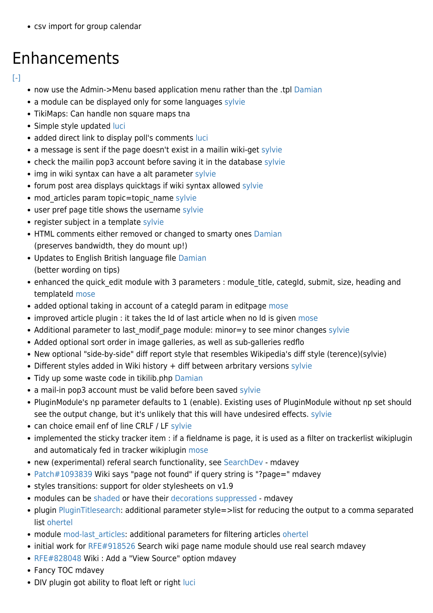• csv import for group calendar

## Enhancements

#### $[ - ]$

- now use the Admin->Menu based application menu rather than the .tpl [Damian](https://suite.tiki.org/Damian)
- a module can be displayed only for some languages [sylvie](https://suite.tiki.org/sylvie)
- TikiMaps: Can handle non square maps [tna](https://suite.tiki.org/tiki-editpage.php?page=tna)
- Simple style updated [luci](https://suite.tiki.org/luci)
- added direct link to display poll's comments [luci](https://suite.tiki.org/luci)
- a message is sent if the page doesn't exist in a mailin wiki-get [sylvie](https://suite.tiki.org/sylvie)
- check the mailin pop3 account before saving it in the database [sylvie](https://suite.tiki.org/sylvie)
- img in wiki syntax can have a alt parameter [sylvie](https://suite.tiki.org/sylvie)
- forum post area displays quicktags if wiki syntax allowed [sylvie](https://suite.tiki.org/sylvie)
- mod articles param topic=topic name [sylvie](https://suite.tiki.org/sylvie)
- user pref page title shows the username [sylvie](https://suite.tiki.org/sylvie)
- register subject in a template [sylvie](https://suite.tiki.org/sylvie)
- HTML comments either removed or changed to smarty ones [Damian](https://suite.tiki.org/Damian) (preserves bandwidth, they do mount up!)
- Updates to English British language file [Damian](https://suite.tiki.org/Damian) (better wording on tips)
- enhanced the quick edit module with 3 parameters : module title, categId, submit, size, heading and templateId [mose](https://suite.tiki.org/mose)
- added optional taking in account of a categId param in editpage [mose](https://suite.tiki.org/mose)
- improved article plugin : it takes the Id of last article when no Id is given [mose](https://suite.tiki.org/mose)
- Additional parameter to last modif page module: minor=y to see minor changes [sylvie](https://suite.tiki.org/sylvie)
- Added optional sort order in image galleries, as well as sub-galleries [redflo](https://suite.tiki.org/tiki-editpage.php?page=redflo)
- New optional "side-by-side" diff report style that resembles Wikipedia's diff style (terence)(sylvie)
- Different styles added in Wiki history + diff between arbritary versions [sylvie](https://suite.tiki.org/sylvie)
- Tidy up some waste code in tikilib.php [Damian](https://suite.tiki.org/Damian)
- a mail-in pop3 account must be valid before been saved [sylvie](https://suite.tiki.org/sylvie)
- PluginModule's np parameter defaults to 1 (enable). Existing uses of PluginModule without np set should see the output change, but it's unlikely that this will have undesired effects. [sylvie](https://suite.tiki.org/sylvie)
- can choice email enf of line CRLF / LF [sylvie](https://suite.tiki.org/sylvie)
- implemented the sticky tracker item : if a fieldname is page, it is used as a filter on trackerlist wikiplugin and automaticaly fed in tracker wikiplugin [mose](https://suite.tiki.org/mose)
- new (experimental) referal search functionality, see [SearchDev](https://suite.tiki.org/SearchDev)  [mdavey](https://suite.tiki.org/tiki-editpage.php?page=userPageMDavey)
- [Patch#1093839](http://sourceforge.net/tracker/?func=detail&aid=1093839&group_id=64258&atid=506848) Wiki says "page not found" if query string is "?page=" [mdavey](https://suite.tiki.org/tiki-editpage.php?page=UserPageMDavey)
- styles transitions: support for older stylesheets on v1.9
- modules can be [shaded](http://doc.tiki.org/UserShadeModules) or have their [decorations suppressed](http://doc.tiki.org/Modules%20Admin) - [mdavey](https://suite.tiki.org/tiki-editpage.php?page=UserPageMDavey)
- plugin [PluginTitlesearch:](https://suite.tiki.org/PluginTitlesearch) additional parameter style=>list for reducing the output to a comma separated list [ohertel](https://suite.tiki.org/ohertel)
- module mod-last articles: additional parameters for filtering articles [ohertel](https://suite.tiki.org/ohertel)
- initial work for [RFE#918526](http://sourceforge.net/tracker/?func=detail&atid=506849&aid=918526&group_id=64258) Search wiki page name module should use real search [mdavey](https://suite.tiki.org/tiki-editpage.php?page=UserPageMDavey)
- [RFE#828048](http://sourceforge.net/tracker/?func=detail&atid=506849&aid=828048&group_id=64258) Wiki : Add a "View Source" option [mdavey](https://suite.tiki.org/tiki-editpage.php?page=UserPageMDavey)
- Fancy TOC [mdavey](https://suite.tiki.org/tiki-editpage.php?page=UserPageMDavey)
- DIV plugin got ability to float left or right [luci](https://suite.tiki.org/luci)